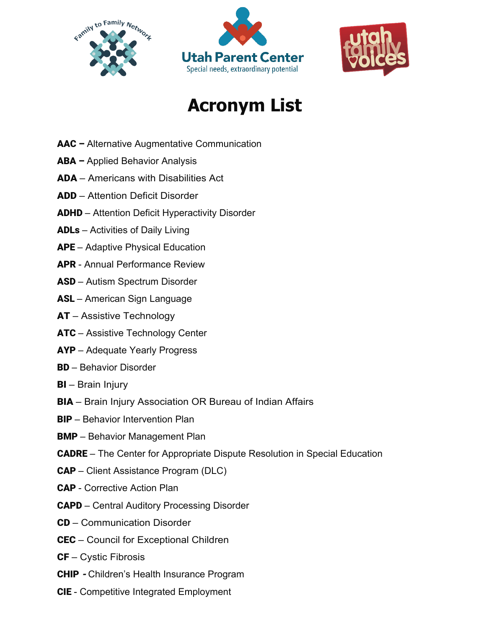





## **Acronym List**

- AAC Alternative Augmentative Communication
- ABA Applied Behavior Analysis
- ADA Americans with Disabilities Act
- ADD Attention Deficit Disorder
- ADHD Attention Deficit Hyperactivity Disorder
- ADLs Activities of Daily Living
- APE Adaptive Physical Education
- APR Annual Performance Review
- ASD Autism Spectrum Disorder
- ASL American Sign Language
- **AT** Assistive Technology
- ATC Assistive Technology Center
- AYP Adequate Yearly Progress
- BD Behavior Disorder
- **BI** Brain Injury
- BIA Brain Injury Association OR Bureau of Indian Affairs
- BIP Behavior Intervention Plan
- BMP Behavior Management Plan
- CADRE The Center for Appropriate Dispute Resolution in Special Education
- CAP Client Assistance Program (DLC)
- CAP Corrective Action Plan
- CAPD Central Auditory Processing Disorder
- CD Communication Disorder
- CEC Council for Exceptional Children
- $CF C$ ystic Fibrosis
- CHIP Children's Health Insurance Program
- CIE Competitive Integrated Employment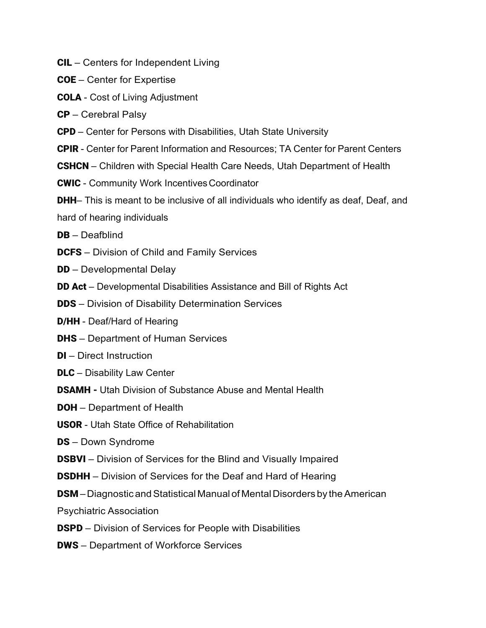- CIL Centers for Independent Living
- COE Center for Expertise
- COLA Cost of Living Adjustment
- CP Cerebral Palsy
- CPD Center for Persons with Disabilities, Utah State University
- CPIR Center for Parent Information and Resources; TA Center for Parent Centers
- CSHCN Children with Special Health Care Needs, Utah Department of Health
- **CWIC** Community Work Incentives Coordinator
- **DHH** This is meant to be inclusive of all individuals who identify as deaf, Deaf, and
- hard of hearing individuals
- DB Deafblind
- **DCFS** Division of Child and Family Services
- **DD** Developmental Delay
- **DD Act** Developmental Disabilities Assistance and Bill of Rights Act
- **DDS** Division of Disability Determination Services
- D/HH Deaf/Hard of Hearing
- **DHS** Department of Human Services
- **DI** Direct Instruction
- **DLC** Disability Law Center
- DSAMH Utah Division of Substance Abuse and Mental Health
- **DOH** Department of Health
- USOR Utah State Office of Rehabilitation
- **DS** Down Syndrome
- **DSBVI** Division of Services for the Blind and Visually Impaired
- **DSDHH** Division of Services for the Deaf and Hard of Hearing
- **DSM** Diagnostic and Statistical Manual of Mental Disorders by the American
- Psychiatric Association
- DSPD Division of Services for People with Disabilities
- DWS Department of Workforce Services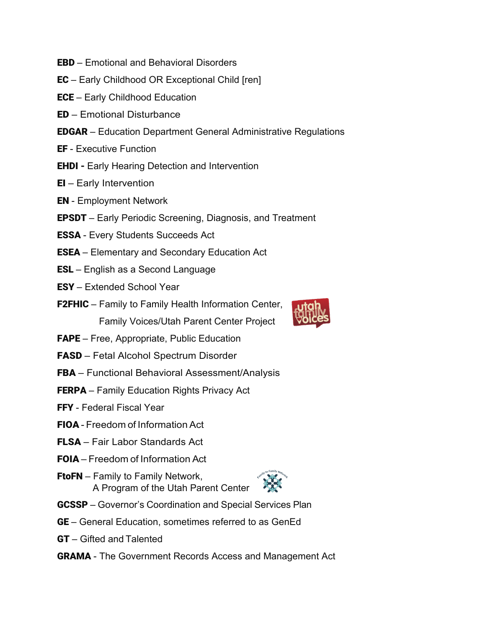- EBD Emotional and Behavioral Disorders
- EC Early Childhood OR Exceptional Child [ren]
- ECE Early Childhood Education
- ED Emotional Disturbance
- EDGAR Education Department General Administrative Regulations
- EF Executive Function
- **EHDI Early Hearing Detection and Intervention**
- EI Early Intervention
- EN Employment Network
- EPSDT Early Periodic Screening, Diagnosis, and Treatment
- ESSA Every Students Succeeds Act
- ESEA Elementary and Secondary Education Act
- ESL English as a Second Language
- ESY Extended School Year
- **F2FHIC** Family to Family Health Information Center, Family Voices/Utah Parent Center Project
- FAPE Free, Appropriate, Public Education
- FASD Fetal Alcohol Spectrum Disorder
- FBA Functional Behavioral Assessment/Analysis
- **FERPA** Family Education Rights Privacy Act
- FFY Federal Fiscal Year
- FIOA Freedom of Information Act
- FLSA Fair Labor Standards Act
- FOIA Freedom of Information Act
- FtoFN Family to Family Network, A Program of the Utah Parent Center



- GCSSP Governor's Coordination and Special Services Plan
- GE General Education, sometimes referred to as GenEd
- GT Gifted and Talented
- GRAMA The Government Records Access and Management Act

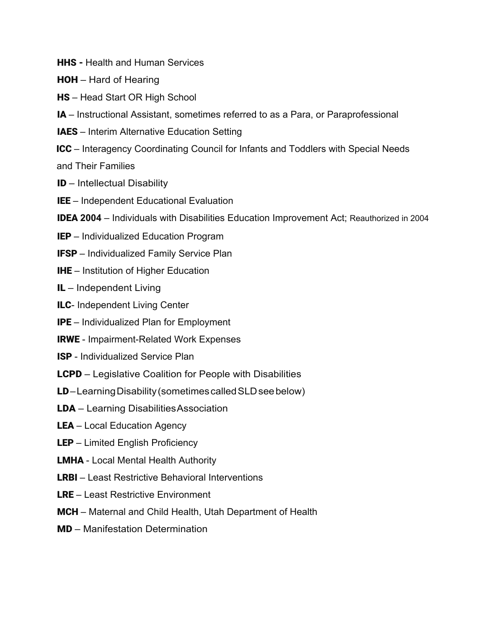- **HHS** Health and Human Services
- HOH Hard of Hearing
- HS Head Start OR High School
- IA Instructional Assistant, sometimes referred to as a Para, or Paraprofessional
- IAES Interim Alternative Education Setting
- ICC Interagency Coordinating Council for Infants and Toddlers with Special Needs

and Their Families

- ID Intellectual Disability
- IEE Independent Educational Evaluation
- IDEA **2004** Individuals with Disabilities Education Improvement Act; Reauthorized in 2004
- **IEP** Individualized Education Program
- IFSP Individualized Family Service Plan
- **IHE** Institution of Higher Education
- IL Independent Living
- **ILC-** Independent Living Center
- IPE Individualized Plan for Employment
- IRWE Impairment-Related Work Expenses
- ISP Individualized Service Plan
- LCPD Legislative Coalition for People with Disabilities
- LD–Learning Disability (sometimes called SLD see below)
- LDA Learning DisabilitiesAssociation
- LEA Local Education Agency
- LEP Limited English Proficiency
- **LMHA** Local Mental Health Authority
- LRBI Least Restrictive Behavioral Interventions
- LRE Least Restrictive Environment
- MCH Maternal and Child Health, Utah Department of Health
- MD Manifestation Determination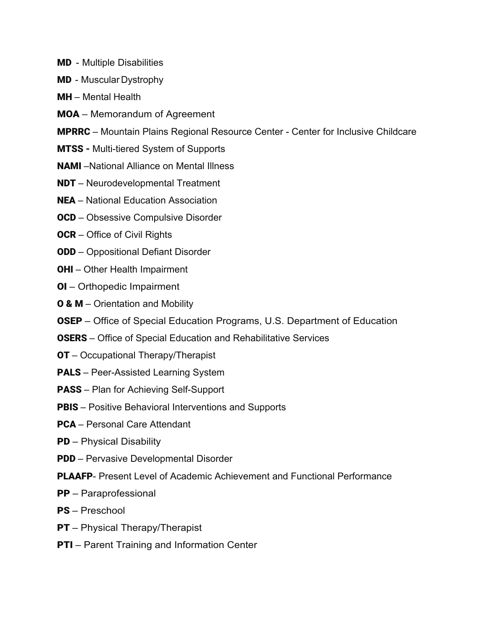- MD Multiple Disabilities
- MD Muscular Dystrophy
- MH Mental Health
- MOA Memorandum of Agreement
- MPRRC Mountain Plains Regional Resource Center Center for Inclusive Childcare
- MTSS Multi-tiered System of Supports
- NAMI –National Alliance on Mental Illness
- NDT Neurodevelopmental Treatment
- NEA National Education Association
- **OCD** Obsessive Compulsive Disorder
- **OCR** Office of Civil Rights
- ODD Oppositional Defiant Disorder
- **OHI** Other Health Impairment
- OI Orthopedic Impairment
- **O & M** Orientation and Mobility
- OSEP Office of Special Education Programs, U.S. Department of Education
- OSERS Office of Special Education and Rehabilitative Services
- **OT** Occupational Therapy/Therapist
- PALS Peer-Assisted Learning System
- PASS Plan for Achieving Self-Support
- **PBIS** Positive Behavioral Interventions and Supports
- PCA Personal Care Attendant
- PD Physical Disability
- PDD Pervasive Developmental Disorder
- PLAAFP- Present Level of Academic Achievement and Functional Performance
- PP Paraprofessional
- PS Preschool
- **PT** Physical Therapy/Therapist
- **PTI** Parent Training and Information Center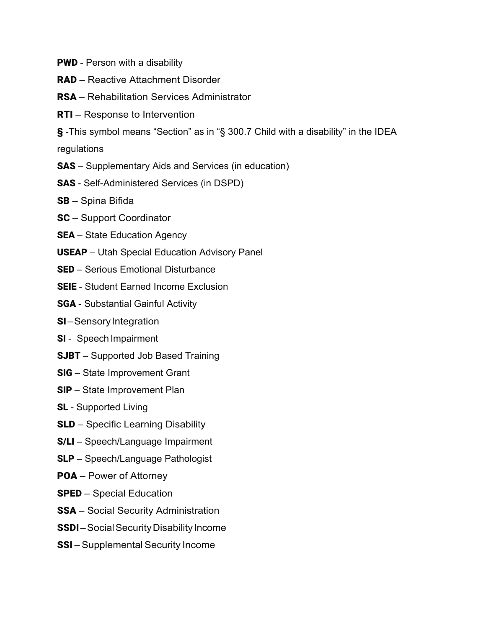- **PWD** Person with a disability
- RAD Reactive Attachment Disorder
- RSA Rehabilitation Services Administrator
- RTI Response to Intervention
- § -This symbol means "Section" as in "§ 300.7 Child with a disability" in the IDEA

regulations

- SAS Supplementary Aids and Services (in education)
- SAS Self-Administered Services (in DSPD)
- SB Spina Bifida
- SC Support Coordinator
- **SEA** State Education Agency
- USEAP Utah Special Education Advisory Panel
- SED Serious Emotional Disturbance
- SEIE Student Earned Income Exclusion
- SGA Substantial Gainful Activity
- **SI**–Sensory Integration
- SI Speech Impairment
- **SJBT** Supported Job Based Training
- SIG State Improvement Grant
- SIP State Improvement Plan
- **SL** Supported Living
- SLD Specific Learning Disability
- S/LI Speech/Language Impairment
- SLP Speech/Language Pathologist
- POA Power of Attorney
- SPED Special Education
- SSA Social Security Administration
- SSDI-Social Security Disability Income
- SSI Supplemental Security Income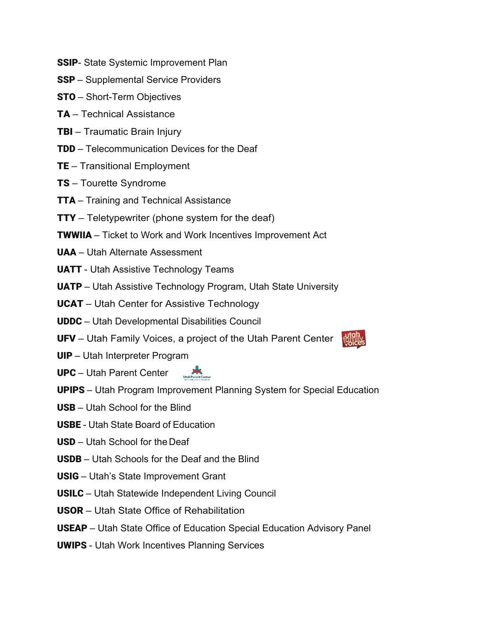- **SSIP-** State Systemic Improvement Plan
- SSP Supplemental Service Providers
- STO Short-Term Objectives
- TA Technical Assistance
- TBI Traumatic Brain Injury
- TDD Telecommunication Devices for the Deaf
- TE Transitional Employment
- TS Tourette Syndrome
- **TTA** Training and Technical Assistance
- **TTY** Teletypewriter (phone system for the deaf)
- TWWIIA Ticket to Work and Work Incentives Improvement Act
- UAA Utah Alternate Assessment
- UATT Utah Assistive Technology Teams
- UATP Utah Assistive Technology Program, Utah State University
- **UCAT** Utah Center for Assistive Technology
- UDDC Utah Developmental Disabilities Council
- UFV Utah Family Voices, a project of the Utah Parent Center
- UIP Utah Interpreter Program
- UPC Utah Parent Center
- UPIPS Utah Program Improvement Planning System for Special Education
- USB Utah School for the Blind
- USBE Utah State Board of Education
- USD Utah School for the Deaf
- USDB Utah Schools for the Deaf and the Blind
- USIG Utah's State Improvement Grant
- USILC Utah Statewide Independent Living Council
- USOR Utah State Office of Rehabilitation
- USEAP Utah State Office of Education Special Education Advisory Panel
- UWIPS Utah Work Incentives Planning Services